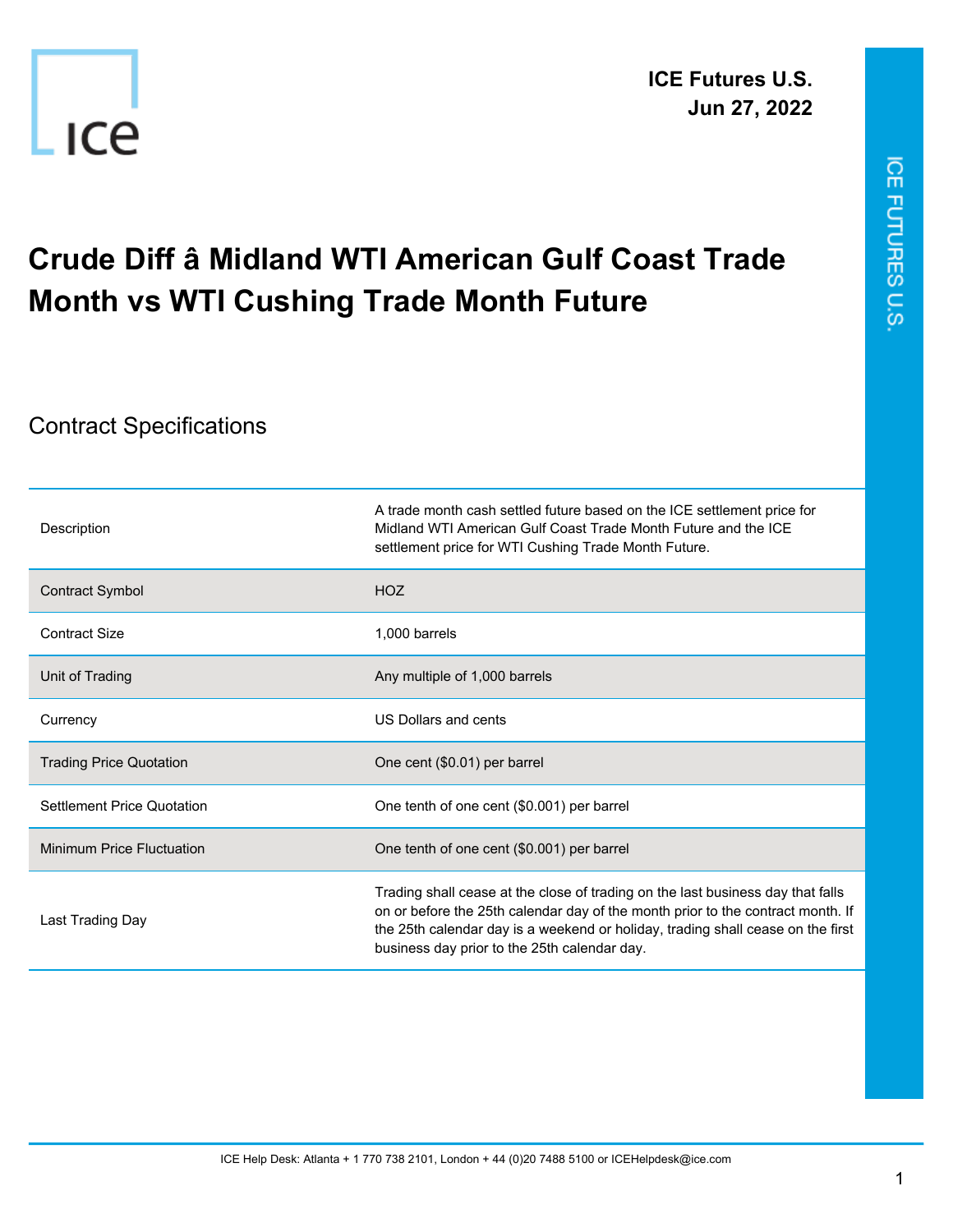



## **Crude Diff â Midland WTI American Gulf Coast Trade Month vs WTI Cushing Trade Month Future**

## Contract Specifications

-ICe

| Description                      | A trade month cash settled future based on the ICE settlement price for<br>Midland WTI American Gulf Coast Trade Month Future and the ICF<br>settlement price for WTI Cushing Trade Month Future.                                                                                                     |
|----------------------------------|-------------------------------------------------------------------------------------------------------------------------------------------------------------------------------------------------------------------------------------------------------------------------------------------------------|
| Contract Symbol                  | <b>HOZ</b>                                                                                                                                                                                                                                                                                            |
| Contract Size                    | 1,000 barrels                                                                                                                                                                                                                                                                                         |
| Unit of Trading                  | Any multiple of 1,000 barrels                                                                                                                                                                                                                                                                         |
| Currency                         | US Dollars and cents                                                                                                                                                                                                                                                                                  |
| <b>Trading Price Quotation</b>   | One cent (\$0.01) per barrel                                                                                                                                                                                                                                                                          |
| Settlement Price Quotation       | One tenth of one cent (\$0.001) per barrel                                                                                                                                                                                                                                                            |
| <b>Minimum Price Fluctuation</b> | One tenth of one cent (\$0.001) per barrel                                                                                                                                                                                                                                                            |
| Last Trading Day                 | Trading shall cease at the close of trading on the last business day that falls<br>on or before the 25th calendar day of the month prior to the contract month. If<br>the 25th calendar day is a weekend or holiday, trading shall cease on the first<br>business day prior to the 25th calendar day. |